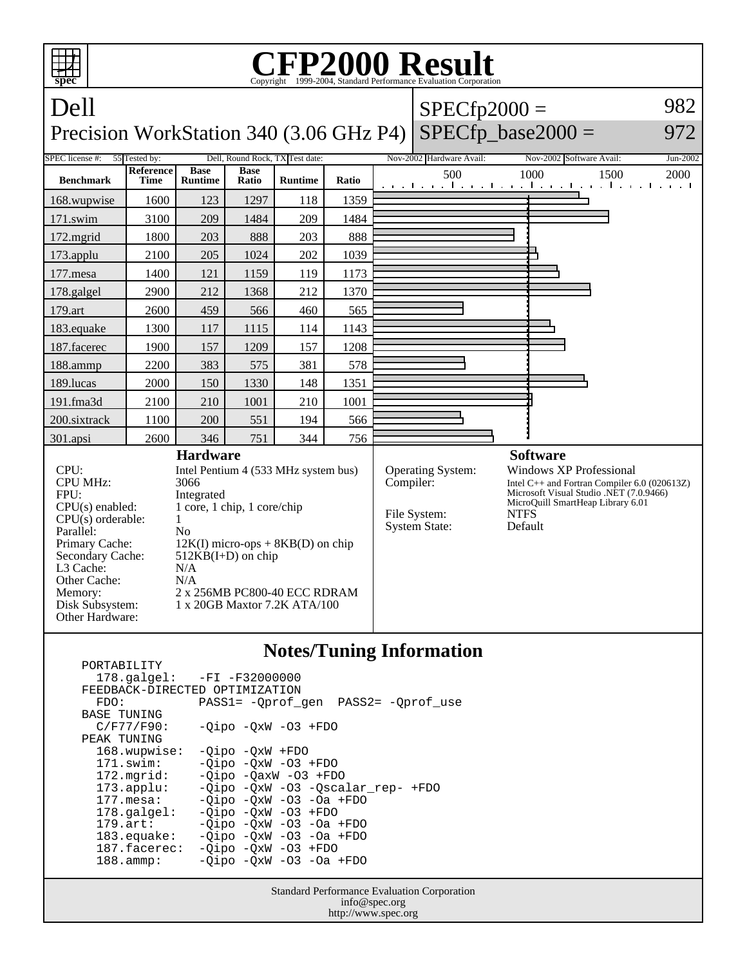

| $178.\text{qalgel}: -FI -F32000000$<br>FEEDBACK-DIRECTED OPTIMIZATION<br>PASS1= - Oprof gen PASS2= - Oprof use<br>FDO:<br><b>BASE TUNING</b><br>$C/F77/F90$ :<br>$-Oipo$ $-OxW$ $-O3$ $+FDO$<br>PEAK TUNING<br>168.wupwise:<br>$-Oipo$ $-OxW$ $+FDO$<br>$-Oipo -OXW -O3 + FDO$<br>$171$ .swim:<br>$172.\text{mgrid}:$<br>$-Oipo$ $-OaxW$ $-O3$ $+FDO$<br>-Oipo -OxW -O3 -Oscalar rep- +FDO<br>$173.\text{applu}:$<br>$-Oipo$ $-OxW$ $-O3$ $-Oa$ $+FDO$<br>$177$ . mesa:<br>$-Oipo -OXW -O3 + FDO$<br>$178.\text{qalgel}$ :<br>$-Oipo$ $-OxW$ $-O3$ $-Oa$ $+FDO$<br>$179.\text{art}$ :<br>$-Oipo -OXW -O3 -Oa + FDO$<br>$183$ .equake:<br>187.facerec:<br>$-Oipo -OXW -O3 + FDO$<br>$-Qipo -QxW -O3 -Oa + FDO$<br>$188.\text{amm}:$ | F VIN 1 FID 1 1 1 1 1 |  |
|------------------------------------------------------------------------------------------------------------------------------------------------------------------------------------------------------------------------------------------------------------------------------------------------------------------------------------------------------------------------------------------------------------------------------------------------------------------------------------------------------------------------------------------------------------------------------------------------------------------------------------------------------------------------------------------------------------------------------------|-----------------------|--|
|                                                                                                                                                                                                                                                                                                                                                                                                                                                                                                                                                                                                                                                                                                                                    |                       |  |
|                                                                                                                                                                                                                                                                                                                                                                                                                                                                                                                                                                                                                                                                                                                                    |                       |  |
|                                                                                                                                                                                                                                                                                                                                                                                                                                                                                                                                                                                                                                                                                                                                    |                       |  |
|                                                                                                                                                                                                                                                                                                                                                                                                                                                                                                                                                                                                                                                                                                                                    |                       |  |
|                                                                                                                                                                                                                                                                                                                                                                                                                                                                                                                                                                                                                                                                                                                                    |                       |  |
|                                                                                                                                                                                                                                                                                                                                                                                                                                                                                                                                                                                                                                                                                                                                    |                       |  |
|                                                                                                                                                                                                                                                                                                                                                                                                                                                                                                                                                                                                                                                                                                                                    |                       |  |
|                                                                                                                                                                                                                                                                                                                                                                                                                                                                                                                                                                                                                                                                                                                                    |                       |  |
|                                                                                                                                                                                                                                                                                                                                                                                                                                                                                                                                                                                                                                                                                                                                    |                       |  |
|                                                                                                                                                                                                                                                                                                                                                                                                                                                                                                                                                                                                                                                                                                                                    |                       |  |
|                                                                                                                                                                                                                                                                                                                                                                                                                                                                                                                                                                                                                                                                                                                                    |                       |  |
|                                                                                                                                                                                                                                                                                                                                                                                                                                                                                                                                                                                                                                                                                                                                    |                       |  |
|                                                                                                                                                                                                                                                                                                                                                                                                                                                                                                                                                                                                                                                                                                                                    |                       |  |
|                                                                                                                                                                                                                                                                                                                                                                                                                                                                                                                                                                                                                                                                                                                                    |                       |  |
|                                                                                                                                                                                                                                                                                                                                                                                                                                                                                                                                                                                                                                                                                                                                    |                       |  |
|                                                                                                                                                                                                                                                                                                                                                                                                                                                                                                                                                                                                                                                                                                                                    |                       |  |
|                                                                                                                                                                                                                                                                                                                                                                                                                                                                                                                                                                                                                                                                                                                                    |                       |  |

Standard Performance Evaluation Corporation info@spec.org http://www.spec.org